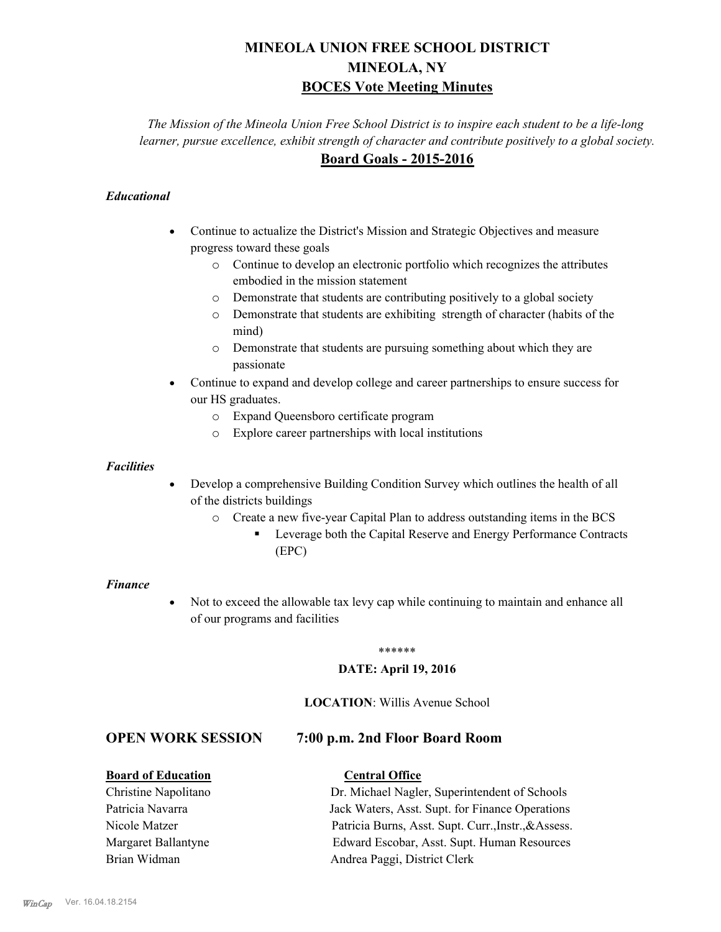# **MINEOLA UNION FREE SCHOOL DISTRICT MINEOLA, NY BOCES Vote Meeting Minutes**

*The Mission of the Mineola Union Free School District is to inspire each student to be a life-long learner, pursue excellence, exhibit strength of character and contribute positively to a global society.* **Board Goals - 2015-2016**

## *Educational*

- · Continue to actualize the District's Mission and Strategic Objectives and measure progress toward these goals
	- o Continue to develop an electronic portfolio which recognizes the attributes embodied in the mission statement
	- o Demonstrate that students are contributing positively to a global society
	- o Demonstrate that students are exhibiting strength of character (habits of the mind)
	- o Demonstrate that students are pursuing something about which they are passionate
- Continue to expand and develop college and career partnerships to ensure success for our HS graduates.
	- o Expand Queensboro certificate program
	- o Explore career partnerships with local institutions

## *Facilities*

- Develop a comprehensive Building Condition Survey which outlines the health of all of the districts buildings
	- o Create a new five-year Capital Plan to address outstanding items in the BCS
		- § Leverage both the Capital Reserve and Energy Performance Contracts (EPC)

#### *Finance*

• Not to exceed the allowable tax levy cap while continuing to maintain and enhance all of our programs and facilities

#### \*\*\*\*\*\*

## **DATE: April 19, 2016**

## **LOCATION**: Willis Avenue School

## **OPEN WORK SESSION 7:00 p.m. 2nd Floor Board Room**

## **Board of Education Central Office**

## Christine Napolitano Dr. Michael Nagler, Superintendent of Schools Patricia Navarra Jack Waters, Asst. Supt. for Finance Operations Nicole Matzer Patricia Burns, Asst. Supt. Curr.,Instr.,&Assess. Margaret Ballantyne Edward Escobar, Asst. Supt. Human Resources Brian Widman **Andrea Paggi, District Clerk**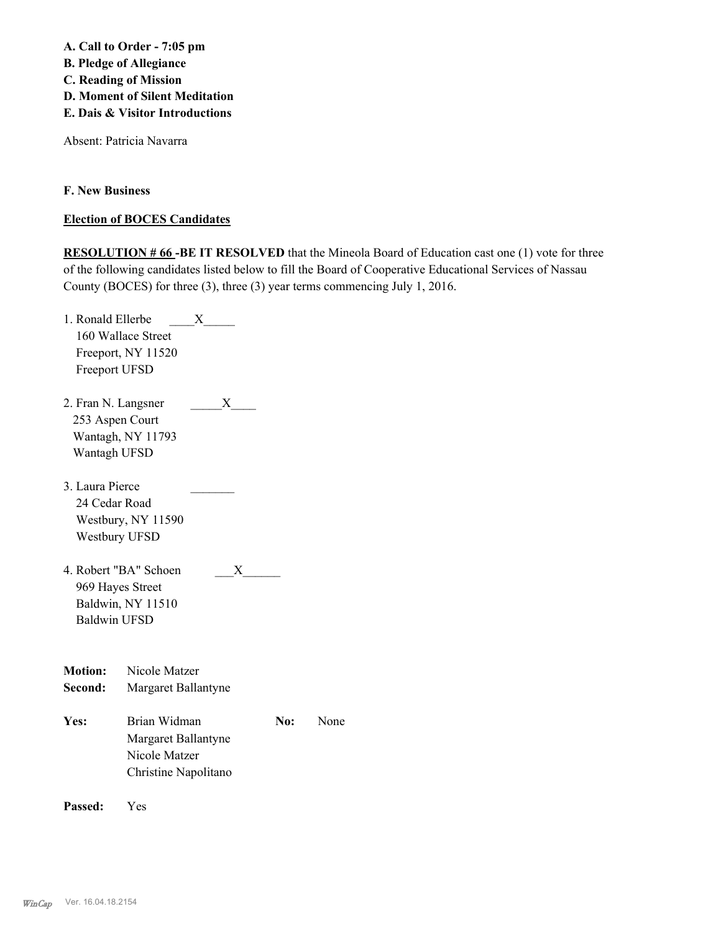**A. Call to Order - 7:05 pm B. Pledge of Allegiance C. Reading of Mission D. Moment of Silent Meditation E. Dais & Visitor Introductions**

Absent: Patricia Navarra

**F. New Business**

## **Election of BOCES Candidates**

**RESOLUTION # 66 -BE IT RESOLVED** that the Mineola Board of Education cast one (1) vote for three of the following candidates listed below to fill the Board of Cooperative Educational Services of Nassau County (BOCES) for three (3), three (3) year terms commencing July 1, 2016.

| 1. Ronald Ellerbe   |                       | X |     |      |
|---------------------|-----------------------|---|-----|------|
|                     | 160 Wallace Street    |   |     |      |
|                     | Freeport, NY 11520    |   |     |      |
| Freeport UFSD       |                       |   |     |      |
| 2. Fran N. Langsner |                       | X |     |      |
| 253 Aspen Court     |                       |   |     |      |
|                     | Wantagh, NY 11793     |   |     |      |
| Wantagh UFSD        |                       |   |     |      |
| 3. Laura Pierce     |                       |   |     |      |
| 24 Cedar Road       |                       |   |     |      |
|                     | Westbury, NY 11590    |   |     |      |
|                     | Westbury UFSD         |   |     |      |
|                     | 4. Robert "BA" Schoen | X |     |      |
|                     | 969 Hayes Street      |   |     |      |
|                     | Baldwin, NY 11510     |   |     |      |
| <b>Baldwin UFSD</b> |                       |   |     |      |
|                     |                       |   |     |      |
| <b>Motion:</b>      | Nicole Matzer         |   |     |      |
| Second:             | Margaret Ballantyne   |   |     |      |
| Yes:                | Brian Widman          |   | No: | None |
|                     | Margaret Ballantyne   |   |     |      |
|                     | Nicole Matzer         |   |     |      |
|                     | Christine Napolitano  |   |     |      |
|                     |                       |   |     |      |
|                     |                       |   |     |      |

**Passed:** Yes